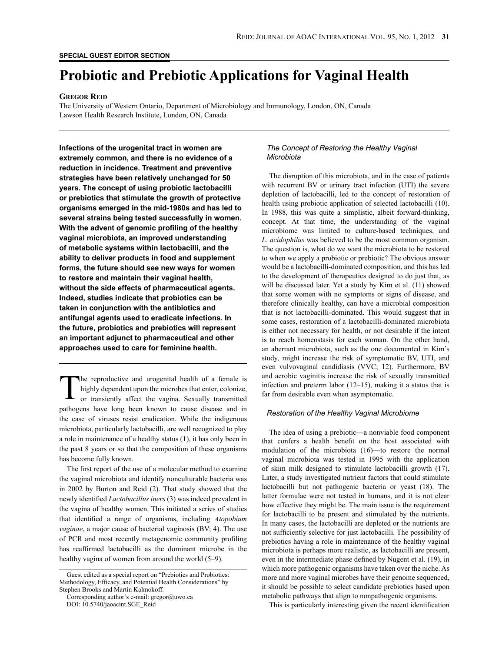### **SPECIAL GUEST EDITOR SECTION**

# **Probiotic and Prebiotic Applications for Vaginal Health**

# **Gregor Reid**

The University of Western Ontario, Department of Microbiology and Immunology, London, ON, Canada Lawson Health Research Institute, London, ON, Canada

**Infections of the urogenital tract in women are extremely common, and there is no evidence of a reduction in incidence. Treatment and preventive strategies have been relatively unchanged for 50 years. The concept of using probiotic lactobacilli or prebiotics that stimulate the growth of protective organisms emerged in the mid-1980s and has led to several strains being tested successfully in women. With the advent of genomic profiling of the healthy vaginal microbiota, an improved understanding of metabolic systems within lactobacilli, and the ability to deliver products in food and supplement forms, the future should see new ways for women to restore and maintain their vaginal health, without the side effects of pharmaceutical agents. Indeed, studies indicate that probiotics can be taken in conjunction with the antibiotics and antifungal agents used to eradicate infections. In the future, probiotics and prebiotics will represent an important adjunct to pharmaceutical and other approaches used to care for feminine health.** 

The reproductive and urogenital health of a female is highly dependent upon the microbes that enter, colonize, or transiently affect the vagina. Sexually transmitted highly dependent upon the microbes that enter, colonize, pathogens have long been known to cause disease and in the case of viruses resist eradication. While the indigenous microbiota, particularly lactobacilli, are well recognized to play a role in maintenance of a healthy status (1), it has only been in the past 8 years or so that the composition of these organisms has become fully known.

The first report of the use of a molecular method to examine the vaginal microbiota and identify nonculturable bacteria was in 2002 by Burton and Reid (2). That study showed that the newly identified *Lactobacillus iners* (3) was indeed prevalent in the vagina of healthy women. This initiated a series of studies that identified a range of organisms, including *Atopobium vaginae*, a major cause of bacterial vaginosis (BV; 4). The use of PCR and most recently metagenomic community profiling has reaffirmed lactobacilli as the dominant microbe in the healthy vagina of women from around the world  $(5-9)$ .

# *The Concept of Restoring the Healthy Vaginal Microbiota*

The disruption of this microbiota, and in the case of patients with recurrent BV or urinary tract infection (UTI) the severe depletion of lactobacilli, led to the concept of restoration of health using probiotic application of selected lactobacilli (10). In 1988, this was quite a simplistic, albeit forward-thinking, concept. At that time, the understanding of the vaginal microbiome was limited to culture-based techniques, and *L. acidophilus* was believed to be the most common organism. The question is, what do we want the microbiota to be restored to when we apply a probiotic or prebiotic? The obvious answer would be a lactobacilli-dominated composition, and this has led to the development of therapeutics designed to do just that, as will be discussed later. Yet a study by Kim et al. (11) showed that some women with no symptoms or signs of disease, and therefore clinically healthy, can have a microbial composition that is not lactobacilli-dominated. This would suggest that in some cases, restoration of a lactobacilli-dominated microbiota is either not necessary for health, or not desirable if the intent is to reach homeostasis for each woman. On the other hand, an aberrant microbiota, such as the one documented in Kim's study, might increase the risk of symptomatic BV, UTI, and even vulvovaginal candidiasis (VVC; 12). Furthermore, BV and aerobic vaginitis increase the risk of sexually transmitted infection and preterm labor (12–15), making it a status that is far from desirable even when asymptomatic.

#### *Restoration of the Healthy Vaginal Microbiome*

The idea of using a prebiotic—a nonviable food component that confers a health benefit on the host associated with modulation of the microbiota (16)—to restore the normal vaginal microbiota was tested in 1995 with the application of skim milk designed to stimulate lactobacilli growth (17). Later, a study investigated nutrient factors that could stimulate lactobacilli but not pathogenic bacteria or yeast (18). The latter formulae were not tested in humans, and it is not clear how effective they might be. The main issue is the requirement for lactobacilli to be present and stimulated by the nutrients. In many cases, the lactobacilli are depleted or the nutrients are not sufficiently selective for just lactobacilli. The possibility of prebiotics having a role in maintenance of the healthy vaginal microbiota is perhaps more realistic, as lactobacilli are present, even in the intermediate phase defined by Nugent et al. (19), in which more pathogenic organisms have taken over the niche. As more and more vaginal microbes have their genome sequenced, it should be possible to select candidate prebiotics based upon metabolic pathways that align to nonpathogenic organisms.

This is particularly interesting given the recent identification

Guest edited as a special report on "Prebiotics and Probiotics: Methodology, Efficacy, and Potential Health Considerations" by Stephen Brooks and Martin Kalmokoff.

Corresponding author's e-mail: gregor@uwo.ca DOI: 10.5740/jaoacint.SGE\_Reid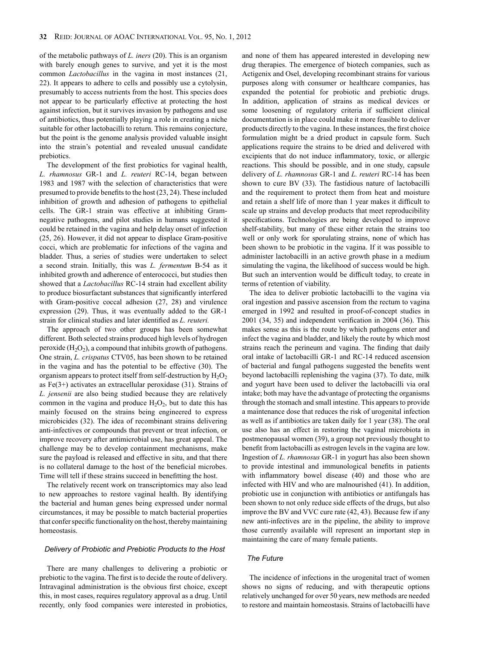of the metabolic pathways of *L. iners* (20). This is an organism with barely enough genes to survive, and yet it is the most common *Lactobacillus* in the vagina in most instances (21, 22). It appears to adhere to cells and possibly use a cytolysin, presumably to access nutrients from the host. This species does not appear to be particularly effective at protecting the host against infection, but it survives invasion by pathogens and use of antibiotics, thus potentially playing a role in creating a niche suitable for other lactobacilli to return. This remains conjecture, but the point is the genome analysis provided valuable insight into the strain's potential and revealed unusual candidate prebiotics.

The development of the first probiotics for vaginal health, *L. rhamnosus* GR-1 and *L. reuteri* RC-14, began between 1983 and 1987 with the selection of characteristics that were presumed to provide benefits to the host (23, 24). These included inhibition of growth and adhesion of pathogens to epithelial cells. The GR-1 strain was effective at inhibiting Gramnegative pathogens, and pilot studies in humans suggested it could be retained in the vagina and help delay onset of infection (25, 26). However, it did not appear to displace Gram-positive cocci, which are problematic for infections of the vagina and bladder. Thus, a series of studies were undertaken to select a second strain. Initially, this was *L. fermentum* B-54 as it inhibited growth and adherence of enterococci, but studies then showed that a *Lactobacillus* RC-14 strain had excellent ability to produce biosurfactant substances that significantly interfered with Gram-positive coccal adhesion (27, 28) and virulence expression (29). Thus, it was eventually added to the GR-1 strain for clinical studies and later identified as *L. reuteri.*

The approach of two other groups has been somewhat different. Both selected strains produced high levels of hydrogen peroxide  $(H<sub>2</sub>O<sub>2</sub>)$ , a compound that inhibits growth of pathogens. One strain, *L. crispatus* CTV05, has been shown to be retained in the vagina and has the potential to be effective (30). The organism appears to protect itself from self-destruction by  $H_2O_2$ as Fe(3+) activates an extracellular peroxidase (31). Strains of *L. jensenii* are also being studied because they are relatively common in the vagina and produce  $H_2O_2$ , but to date this has mainly focused on the strains being engineered to express microbicides (32). The idea of recombinant strains delivering anti-infectives or compounds that prevent or treat infection, or improve recovery after antimicrobial use, has great appeal. The challenge may be to develop containment mechanisms, make sure the payload is released and effective in situ, and that there is no collateral damage to the host of the beneficial microbes. Time will tell if these strains succeed in benefitting the host.

The relatively recent work on transcriptomics may also lead to new approaches to restore vaginal health. By identifying the bacterial and human genes being expressed under normal circumstances, it may be possible to match bacterial properties that confer specific functionality on the host, thereby maintaining homeostasis.

## *Delivery of Probiotic and Prebiotic Products to the Host*

There are many challenges to delivering a probiotic or prebiotic to the vagina. The first is to decide the route of delivery. Intravaginal administration is the obvious first choice, except this, in most cases, requires regulatory approval as a drug. Until recently, only food companies were interested in probiotics, and none of them has appeared interested in developing new drug therapies. The emergence of biotech companies, such as Actigenix and Osel, developing recombinant strains for various purposes along with consumer or healthcare companies, has expanded the potential for probiotic and prebiotic drugs. In addition, application of strains as medical devices or some loosening of regulatory criteria if sufficient clinical documentation is in place could make it more feasible to deliver products directly to the vagina. In these instances, the first choice formulation might be a dried product in capsule form. Such applications require the strains to be dried and delivered with excipients that do not induce inflammatory, toxic, or allergic reactions. This should be possible, and in one study, capsule delivery of *L. rhamnosus* GR-1 and *L. reuteri* RC-14 has been shown to cure BV (33). The fastidious nature of lactobacilli and the requirement to protect them from heat and moisture and retain a shelf life of more than 1 year makes it difficult to scale up strains and develop products that meet reproducibility specifications. Technologies are being developed to improve shelf-stability, but many of these either retain the strains too well or only work for sporulating strains, none of which has been shown to be probiotic in the vagina. If it was possible to administer lactobacilli in an active growth phase in a medium simulating the vagina, the likelihood of success would be high. But such an intervention would be difficult today, to create in terms of retention of viability.

The idea to deliver probiotic lactobacilli to the vagina via oral ingestion and passive ascension from the rectum to vagina emerged in 1992 and resulted in proof-of-concept studies in 2001 (34, 35) and independent verification in 2004 (36). This makes sense as this is the route by which pathogens enter and infect the vagina and bladder, and likely the route by which most strains reach the perineum and vagina. The finding that daily oral intake of lactobacilli GR-1 and RC-14 reduced ascension of bacterial and fungal pathogens suggested the benefits went beyond lactobacilli replenishing the vagina (37). To date, milk and yogurt have been used to deliver the lactobacilli via oral intake; both may have the advantage of protecting the organisms through the stomach and small intestine. This appears to provide a maintenance dose that reduces the risk of urogenital infection as well as if antibiotics are taken daily for 1 year (38). The oral use also has an effect in restoring the vaginal microbiota in postmenopausal women (39), a group not previously thought to benefit from lactobacilli as estrogen levels in the vagina are low. Ingestion of *L. rhamnosus* GR-1 in yogurt has also been shown to provide intestinal and immunological benefits in patients with inflammatory bowel disease (40) and those who are infected with HIV and who are malnourished (41). In addition, probiotic use in conjunction with antibiotics or antifungals has been shown to not only reduce side effects of the drugs, but also improve the BV and VVC cure rate (42, 43). Because few if any new anti-infectives are in the pipeline, the ability to improve those currently available will represent an important step in maintaining the care of many female patients.

# *The Future*

The incidence of infections in the urogenital tract of women shows no signs of reducing, and with therapeutic options relatively unchanged for over 50 years, new methods are needed to restore and maintain homeostasis. Strains of lactobacilli have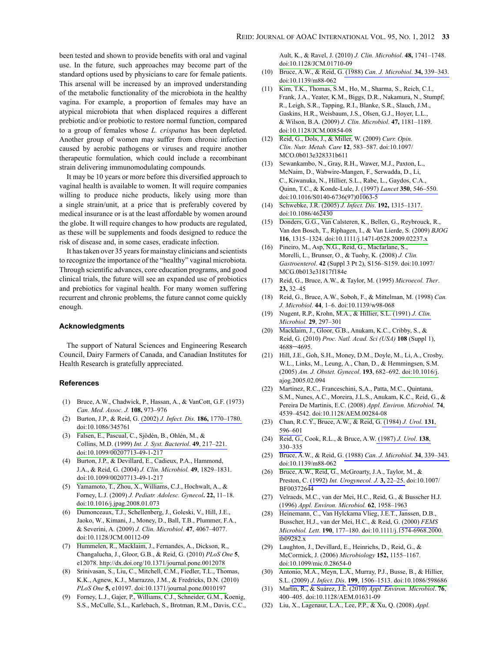been tested and shown to provide benefits with oral and vaginal use. In the future, such approaches may become part of the standard options used by physicians to care for female patients. This arsenal will be increased by an improved understanding of the metabolic functionality of the microbiota in the healthy vagina. For example, a proportion of females may have an atypical microbiota that when displaced requires a different prebiotic and/or probiotic to restore normal function, compared to a group of females whose *L. crispatus* has been depleted. Another group of women may suffer from chronic infection caused by aerobic pathogens or viruses and require another therapeutic formulation, which could include a recombinant strain delivering immunomodulating compounds.

It may be 10 years or more before this diversified approach to vaginal health is available to women. It will require companies willing to produce niche products, likely using more than a single strain/unit, at a price that is preferably covered by medical insurance or is at the least affordable by women around the globe. It will require changes to how products are regulated, as these will be supplements and foods designed to reduce the risk of disease and, in some cases, eradicate infection.

It has taken over 35 years for mainstay clinicians and scientists to recognize the importance of the "healthy" vaginal microbiota. Through scientific advances, core education programs, and good clinical trials, the future will see an expanded use of probiotics and prebiotics for vaginal health. For many women suffering recurrent and chronic problems, the future cannot come quickly enough.

# **Acknowledgments**

The support of Natural Sciences and Engineering Research Council, Dairy Farmers of Canada, and Canadian Institutes for Health Research is gratefully appreciated.

#### **References**

- (1) Bruce, A.W., Chadwick, P., Hassan, A., & VanCott, G.F. (1973) *Can. Med. Assoc. J.* **108,** 973–976
- (2) Burton, J.P., & Reid, G. (2002) *[J. Infect. Dis.](http://www.ingentaconnect.com/content/external-references?article=0022-1899(2002)186L.1770[aid=6425583])* **186,** 1770–1780. [doi:10.1086/345761](http://dx.doi.org/10.1086/345761)
- (3) Falsen, E., Pascual, C., Sjödén, B., Ohlén, M., & Collins, M.D. (1999) *[Int. J. Syst. Bacteriol](http://www.ingentaconnect.com/content/external-references?article=0020-7713(1999)49L.217[aid=9834488])*. **49**, 217–221. [doi:10.1099/00207713-49-1-217](http://dx.doi.org/10.1099/00207713)
- (4) Burton, J.P., & Devillard, E., Cadieux, P.A., Hammond, J.A., & Reid, G. (2004) *J. Clin. Microbiol.* **49**, 1829–1831. [doi:10.1099/00207713-49-1-217](http://dx.doi.org/10.1099/00207713)
- (5) Yamamoto, T., Zhou, X., Williams, C.J., Hochwalt, A., & Forney, L.J. (2009) *J. Pediatr. Adolesc. Gynecol***. 22,** 11–18. [doi:10.1016/j.jpag.2008.01.073](http://dx.doi.org/10.1016/j)
- (6) Dumonceaux, T.J., Schellenberg, J., Goleski, V., Hill, J.E., Jaoko, W., Kimani, J., Money, D., Ball, T.B., Plummer, F.A., & Severini, A. (2009) *J. Clin. Microbiol*. **47**, 4067–4077. [doi:10.1128/JCM.00112-09](http://dx.doi.org/10.1128/JCM)
- (7) Hummelen, R., Macklaim, J., Fernandes, A., Dickson, R., Changalucha, J., Gloor, G.B., & Reid, G. (2010) *PLoS One* **5**, e12078.<http://dx.doi.org/10.1371/journal.pone.0012078>
- (8) Srinivasan, S., Liu, C., Mitchell, C.M., Fiedler, T.L., Thomas, K.K., Agnew, K.J., Marrazzo, J.M., & Fredricks, D.N. (2010) *PLoS One* **5,** e10197. [doi:10.1371/journal.pone.0010197](http://dx.doi.org/10.1371/journal)
- (9) Forney, L.J., Gajer, P., Williams, C.J., Schneider, G.M., Koenig, S.S., McCulle, S.L., Karlebach, S., Brotman, R.M., Davis, C.C.,

Ault, K., & Ravel, J. (2010) *J. Clin. Microbiol*. **48,** 1741–1748. [doi:10.1128/JCM.01710-09](http://dx.doi.org/10.1128/JCM)

- (10) Bruce, A.W., & Reid, G. (1988) *[Can. J. Microbiol](http://www.ingentaconnect.com/content/external-references?article=0008-4166(1988)34L.339[aid=8029611])*. **34,** 339–343. [doi:10.1139/m88-062](http://dx.doi.org/10.1139/m88)
- (11) Kim, T.K., Thomas, S.M., Ho, M., Sharma, S., Reich, C.I., Frank, J.A., Yeater, K.M., Biggs, D.R., Nakamura, N., Stumpf, R., Leigh, S.R., Tapping, R.I., Blanke, S.R., Slauch, J.M., Gaskins, H.R., Weisbaum, J.S., Olsen, G.J., Hoyer, L.L., & Wilson, B.A. (2009) *J. Clin. Microbiol*. **47,** 1181–1189. [doi:10.1128/JCM.00854-08](http://dx.doi.org/10.1128/JCM)
- (12) Reid, G., Dols, J., & Miller, W. (2009) *Curr. Opin. Clin. Nutr. Metab. Care* **12**, 583–587. doi:10.1097/ MCO.0b013e328331b611
- (13) Sewankambo, N., Gray, R.H., Wawer, M.J., Paxton, L., McNaim, D., Wabwire-Mangen, F., Serwadda, D., Li, C., Kiwanuka, N., Hillier, S.L., Rabe, L., Gaydos, C.A., Quinn, T.C., & Konde-Lule, J. (1997) *Lancet* **350**[, 546–550.](http://www.ingentaconnect.com/content/external-references?article=0140-6736(1997)350L.546[aid=543962])  [doi:10.1016/S0140-6736\(97\)01063-5](http://dx.doi.org/10.1016/S0140)
- (14) Schwebke, J.R. (2005) *[J. Infect. Dis](http://www.ingentaconnect.com/content/external-references?article=0022-1899(2005)192L.1315[aid=9834483])*. **192,** 1315–1317. [doi:10.1086/462430](http://dx.doi.org/10.1086/462430)
- (15) Donders, G.G., Van Calsteren, K., Bellen, G., Reybrouck, R., Van den Bosch, T., Riphagen, I., & Van Lierde, S. (2009) *BJOG* **116**, 1315–1324. [doi:10.1111/j.1471-0528.2009.02237.x](http://dx.doi.org/10.1111/j)
- (16) Pineiro, M., Asp, N.G., Reid, G., Macfarlane, S., Morelli, L., Brunser, O., & Tuohy, K. (2008) *J. Clin. Gastroenterol*. **42** (Suppl 3 Pt 2), S156–S159. doi:10.1097/ MCG.0b013e31817f184e
- (17) Reid, G., Bruce, A.W., & Taylor, M. (1995) *Microecol. Ther*. **23,** 32–45
- (18) Reid, G., Bruce, A.W., Soboh, F., & Mittelman, M. (1998) *Can. J. Microbiol*. **44**, 1–6. [doi:10.1139/w98-068](http://dx.doi.org/10.1139/w98)
- (19) Nugent, R.P., Krohn, M.A., & Hillier, S.L[. \(1991\)](http://www.ingentaconnect.com/content/external-references?article=0095-1137(1991)29L.297[aid=541601]) *J. Clin. [Microbiol.](http://www.ingentaconnect.com/content/external-references?article=0095-1137(1991)29L.297[aid=541601])* **29**, 297–301
- (20) Macklaim, J., Gloor, G.B., Anukam, K.C., Cribby, S., & Reid, G. (2010) *Proc. Natl. Acad. Sci (USA)* **108** (Suppl 1), 4688–4695.
- (21) Hill, J.E., Goh, S.H., Money, D.M., Doyle, M., Li, A., Crosby, W.L., Links, M., Leung, A., Chan, D., & Hemmingsen, S.M. (2005) *Am. J. Obstet. Gynecol*. **193**, 682–692[. doi:10.1016/j.](http://dx.doi.org/10.1016/j) ajog.2005.02.094
- (22) Martinez, R.C., Franceschini, S,A., Patta, M.C., Quintana, S.M., Nunes, A.C., Moreira, J.L.S., Anukam, K.C., Reid, G., & Pereira De Martinis, E.C. (2008) *Appl. Environ. Microbiol.* **74**, 4539–4542[. doi:10.1128/AEM.00284-08](http://dx.doi.org/10.1128/AEM)
- (23) Chan, R.C.Y., Bruce, A.W., & Reid, G. (1984) *[J. Urol.](http://www.ingentaconnect.com/content/external-references?article=0022-5347(1984)131L.596[aid=1844997])* **131**, [596–601](http://www.ingentaconnect.com/content/external-references?article=0022-5347(1984)131L.596[aid=1844997])
- (24) Reid, G., Cook, R.L., & Bruce, A.W[. \(1987\)](http://www.ingentaconnect.com/content/external-references?article=0022-5347(1987)138L.330[aid=2493010]) *J. Urol*. **138**, [330–335](http://www.ingentaconnect.com/content/external-references?article=0022-5347(1987)138L.330[aid=2493010])
- (25) Bruce, A.W., & Reid, G. (1988) *[Can. J. Microbiol](http://www.ingentaconnect.com/content/external-references?article=0008-4166(1988)34L.339[aid=8029611])*. **34**, 339–343. [doi:10.1139/m88-062](http://dx.doi.org/10.1139/m88)
- (26) Bruce, A.W., Reid, G., McGroarty, J.A., Taylor, M., & Preston, C. (1992) *[Int. Urogynecol. J.](http://www.ingentaconnect.com/content/external-references?article=0937-3462(1992)3L.22[aid=9834473])* **3,** 22–25. doi:10.1007/ BF00372644
- (27) Velraeds, M.C., van der Mei, H.C., Reid, G., & Busscher H.J. (1996) *[Appl. Environ. Microbiol.](http://www.ingentaconnect.com/content/external-references?article=0099-2240(1996)62L.1958[aid=3063123])* **62**, 1958–1963
- (28) Heinemann, C., Van Hylckama Vlieg, J.E.T., Janssen, D.B., Busscher, H.J., van der Mei, H.C., & Reid, G[. \(2000\)](http://www.ingentaconnect.com/content/external-references?article=0378-1097(2000)190L.177[aid=2993879]) *FEMS [Microbiol. Lett](http://www.ingentaconnect.com/content/external-references?article=0378-1097(2000)190L.177[aid=2993879])*. **190**, 177–180[. doi:10.1111/j.1574-6968.2000.](http://dx.doi.org/10.1111/j) tb09282.x
- (29) Laughton, J., Devillard, E., Heinrichs, D., Reid, G., & McCormick, J. (2006) *Microbiology* **152,** 1155–1167. [doi:10.1099/mic.0.28654-0](http://dx.doi.org/10.1099/mic)
- (30) Antonio, M.A., Meyn, L.A., Murray, P.J., Busse, B., & Hillier, S.L[. \(2009\)](http://www.ingentaconnect.com/content/external-references?article=0022-1899(2009)199L.1506[aid=9834480]) *[J. Infect. Dis](http://www.ingentaconnect.com/content/external-references?article=0022-1899(2009)199L.1506[aid=9834480])*[.](http://www.ingentaconnect.com/content/external-references?article=0022-1899(2009)199L.1506[aid=9834480]) **[199](http://www.ingentaconnect.com/content/external-references?article=0022-1899(2009)199L.1506[aid=9834480])**, [1506–1513.](http://www.ingentaconnect.com/content/external-references?article=0022-1899(2009)199L.1506[aid=9834480]) [doi:10.1086/598686](http://dx.doi.org/10.1086/598686)
- (31) Martín, R., & Suárez, J.E. (2010) *Appl. Environ. Microbiol*. **76**, 400–405[. doi:10.1128/AEM.01631-09](http://dx.doi.org/10.1128/AEM)
- (32) Liu, X., Lagenaur, L.A., Lee, P.P., & Xu, Q. (2008) *Appl.*